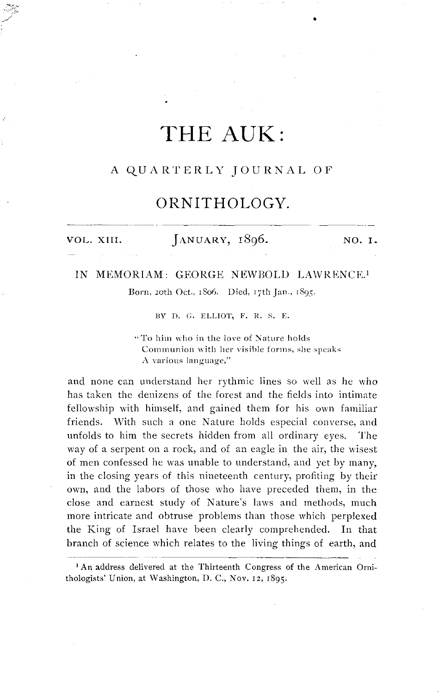# THE AUK:

### A QUARTERLY JOURNAL OF

### ORNITHOLOGY.

VOL. XIII.

JANUARY, 1896.

NO. I.

#### IN MEMORIAM: GEORGE NEWBOLD LAWRENCE.<sup>1</sup>

Born, 20th Oct., 1806. Died, 17th Jan., 1895.

BY D. G. ELLIOT, F. R. S. E.

"To him who in the love of Nature holds Communion with her visible forms, she speaks A various language,"

and none can understand her rythmic lines so well as he who has taken the denizens of the forest and the fields into intimate fellowship with himself, and gained them for his own familiar friends. With such a one Nature holds especial converse, and unfolds to him the secrets hidden from all ordinary eyes. The way of a serpent on a rock, and of an eagle in the air, the wisest of men confessed he was unable to understand, and yet by many, in the closing years of this nineteenth century, profiting by their own, and the labors of those who have preceded them, in the close and earnest study of Nature's laws and methods, much more intricate and obtruse problems than those which perplexed the King of Israel have been clearly comprehended. In that branch of science which relates to the living things of earth, and

<sup>1</sup> An address delivered at the Thirteenth Congress of the American Ornithologists' Union, at Washington, D. C., Nov. 12, 1895.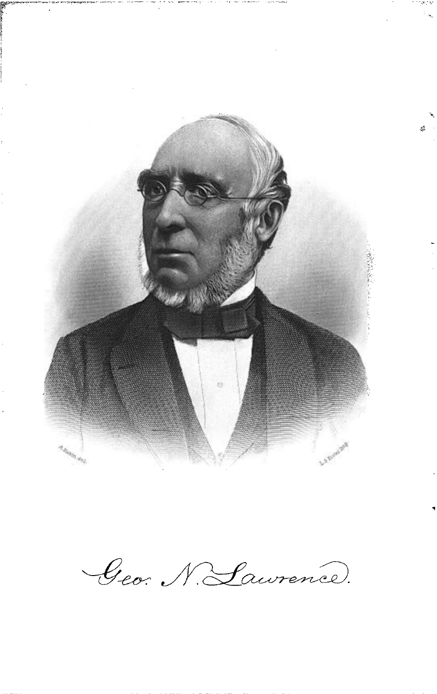

Geo. N. Laurence.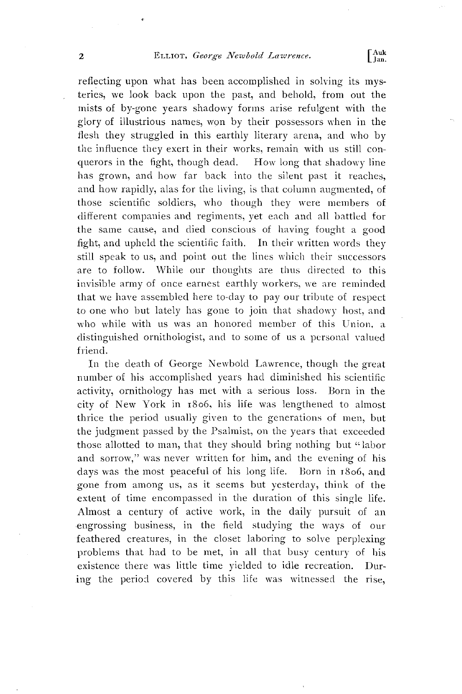## **2 ELLIOT**, *George Newbold Lawrence*.  $\left[\begin{array}{c} \text{Auk} \\ \text{Jan.} \end{array}\right)$

reflecting upon what has been accomplished in solving its mys**teries, we look back upon the past, and behold, from out the mists of by-gone years shadowy forms arise refulgent with the glory of illustrious names, won by their possessors when in the flesh they struggled in this earthly literary arena, and who by the influence they exert in their works, remain with us still con**querors in the fight, though dead. **has grown, and how far back into the silent past it reaches,**  and how rapidly, alas for the living, is that column augmented, of **those scientific soldiers, who though they were members of**  different companies and regiments, yet each and all battled for **the same cause, and died conscious of having fought a good fight, and upheld the scientific faith. In their written words they still speak to us, and point out the lines which their successors**  are to follow. While our thoughts are thus directed to this **invisible army of once earnest earthly workers, we are reminded that we have assembled here to-day to pay our tribute of respect to one who but lately has gone to join that shadowy host, and**  who while with us was an honored member of this Union, a distinguished ornithologist, and to some of us a personal valued **friend.** 

**In the death of George Newbold Lawrence, though the great number of his accomplished years had diminished his scientific activity, ornithology has met with a serious loss. Born in the city of New York in •8o6, his life was lengthened to ahnost**  thrice the period usually given to the generations of men, but **the judgment passed by the Psahnist, on the years that exceeded**  those allotted to man, that they should bring nothing but "labor **and sorrow," was never written for him, and the evening of his days was the most peaceful of his long life. Born in •8o6, and**  gone from among us, as it seems but yesterday, think of the extent of time encompassed in the duration of this single life. **Ahnost a century of active work, in the daily pursuit of an .engrossing business, in the field studying the ways of our feathered creatures, in the closet laboring to solve perplexing**  problems that had to be met, in all that busy century of his **existence there was little time yielded to idle recreation. During the period covered by this life was witnessed the rise,**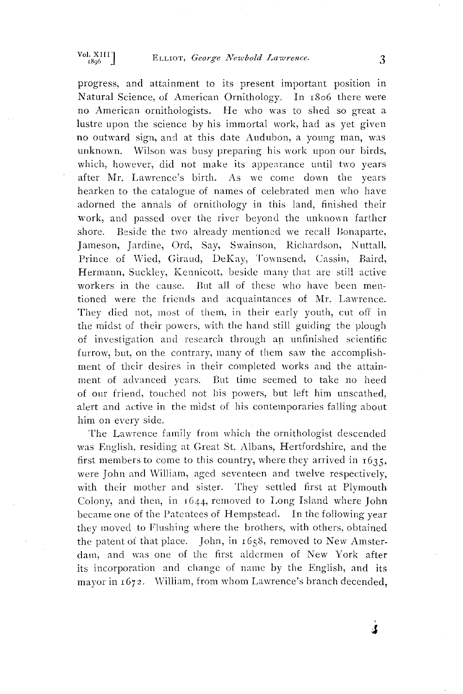**progress, and attainment to its present important position in Natural Science, of American Ornithology. In •8o6 there were no American ornithologists. He xvho was to shed so great a lustre upon the science by his immortal work, had as yet given no outward sign, and at this date Audubon, a young man, xvas unknown. Wilson was busy preparing his work upon our birds, which, however, did not make its appearance until two years after Mr. Lawrence's birth. As we come down the years hearken to the catalogue of names of celebrated men who have adorned the annals of ornithology in this land, finisshed their work, and passed over the river beyond the unknown farther**  Beside the two already mentioned we recall Bonaparte, **Jameson, Jardine, Ord, Say, Swainson, Richardson, Nuttall, Prince of Wied, Giraud, DeKay, Townsend, Cassin, Baird,**  Hermann, Suckley, Kennicott, beside many that are still active **workers in the cause. But all of these who have been mentioned were the friends and acquaintances of Mr. Lawrence. They died not, most of them, in their early youth, cut off in**  the midst of their powers, with the hand still guiding the plough of investigation and research through an unfinished scientific **furrow, but, on the contrary, many of them saw the accomplishment of their desires in their completed works and the attainment of advanced years. But time seemed to take no heed**  of our friend, touched not his powers, but left him unscathed, **alert and uctive in the midst of his contemporaries falling about him on every side.** 

The Lawrence family from which the ornithologist descended **was English, residing at Great St. Albans, Hertfordshire, and the**  first members to come to this country, where they arrived in  $1635$ , **were John and William, aged seventeen and twelve respectively, with their mother and sister. They settled first at Plymouth**  Colony, and then, in  $1644$ , removed to Long Island where John **became one of the Patentees of Hempstead. In the following year they moved to Flushing where the brothers, with others, obtained**  the patent of that place. John, in 1658, removed to New Amsterdam, and was one of the first aldermen of New York after **its incorporation and change of name by the English, and its**  mayor in 1672. William, from whom Lawrence's branch decended,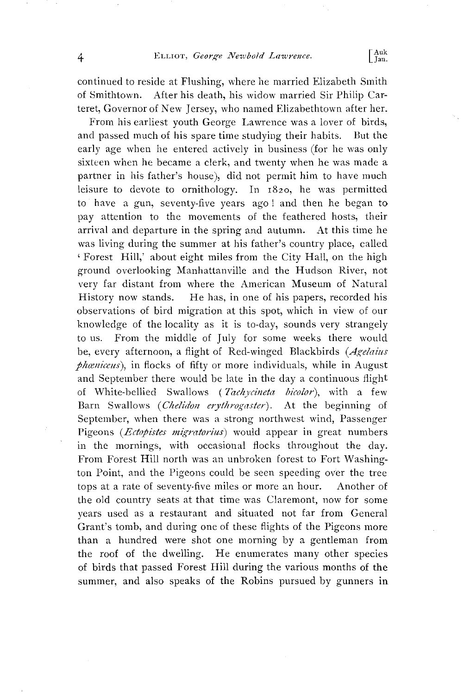**continued to reside at Flushing, where he married Elizabeth Smith of Smithtown. After his death, his widow married Sir Philip Carteret, Governor of New Jersey, who named Elizabethtown after her.** 

**From his earliest youth George Lawrence was a lover of birds,**  and passed much of his spare time studying their habits. **early age when he entered actively in business (for he was only sixteen when he became a clerk, and twenty when he was made a partner in his father's house), did not permit him to have much leisure to devote to ornithology. In x82o, he was permitted to have a gun, seventy-five years ago! and then he began to**  pay attention to the movements of the feathered hosts, their **arrival and departure in the spring and autumn. At this time he**  was living during the summer at his father's country place, called **• Forest Hill,' about eight miles from the City Hall, on the high ground overlooking Manhattanville and the Hudson River, not very far distant from where the American Museum of Natural**  He has, in one of his papers, recorded his **observations of bird migration at this spot, which in view of our knowledge of the locality as it is to-day, sounds very strangely to us. From the middle of July for some weeks there would be, every afternoon, a flight of Red-winged Blackbirds**  phæniceus), in flocks of fifty or more individuals, while in August **and September there would be late in the day a continuous flight of White-bellied Swallows (Tachycineta bicolor), with a few**  Barn Swallows (Chelidon erythrogaster). At the beginning of **September, when there was a strong northwest wind, Passenger**  Pigeons (*Ectopistes migratorius*) would appear in great numbers **in the mornings, with occasional flocks throughout the day. From Forest Hill north was an unbroken forest to Fort Washington Point, and the Pigeons could be seen speeding over the tree tops at a rate of seventy-five miles or more an hour. Another of the old country seats at that time was Claremont, now for some years used as a restaurant and situated not far from General Grant's tomb, and during one of these flights of the Pigeons more than a hundred were shot one morning by a gentleman from**  the roof of the dwelling. He enumerates many other species **of birds that passed Forest Hill during the various months of the summer, and also speaks of the Robins pursued by gunners in**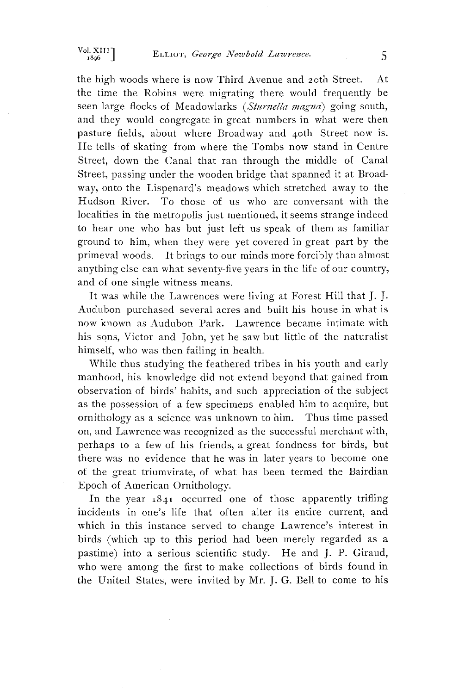**the high woods where is now Third Avenue and 2oth Street. At the time the Robins were migrating there would frequently be**  seen large flocks of Meadowlarks (*Sturnella magna*) going south, **and they would congregate in great numbers in what were then pasture fields, about where Broadway and 4oth Street now is. He tells of skating from where the Tombs now stand in Centre Street, down the Canal that ran through the middle of Canal Street, passing under the wooden bridge that spanned it at Broadway, onto the Lispenard's meadows which stretched away to the Hudson River. To those of us who are conversant with the localities in the metropolis just mentioned, it seems strange indeed to hear one who has but just left us speak of them as familiar ground to him, when they were yet covered in great part by the primeval woods. It brings to our minds more forcibly than ahnost anything else can what seventy-five years in the life of our country, and of one single witness means.** 

**It was while the Lawrences were living at Forest Hill that J. J. Audubon purchased several acres and built his house in what is now known as Audubon Park. Lawrence became intimate with his sons, Victor and John, yet he saw but little of the naturalist himself, who was then failing in health.** 

**While thus studying the feathered tribes in his youth and early manhood, his knowledge did not extend beyond that gained from observation of birds' habits, and such appreciation of the subject as the possession of a few specimens enabled him to acquire, but ornithology as a science was unknown to him. Thus time passed on, and Lawrence was recognized as the successful merchant with, perhaps to a few of his friends, a great fondness for birds, but there was no evidence that he was in later years to become one of the great triumvirate, of what has been termed the Bairdian Epoch of American Ornithology.** 

In the year  $x841$  occurred one of those apparently trifling **incidents in one's life that often alter its entire current, and which in this instance served to change Lawrence's interest in birds (which up to this period had been merely regarded as a pastime) into a serious scientific study. He and J.P. Giraud, who were among the first to make collections of birds found in the United States, were invited by Mr. J. G. Bell to come to his**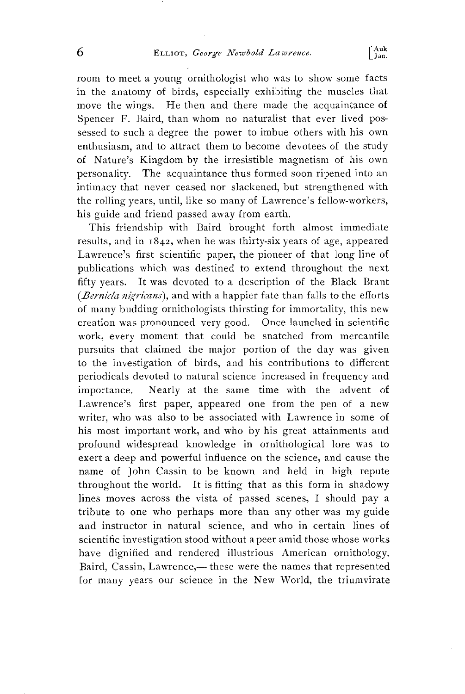**room to meet a young ornithologist who was to show some facts in the anatomy of birds, especially exhibiting the muscles that move the wings. He then and there made the acquaintance of Spencer F. Baird, than whom no naturalist that ever lived possessed to such a degree the power to imbue others with his own enthusiasm, and to attract them to become devotees of the study of Nature's Kingdom by the irresistible magnetism of his own personality. The acquaintance thus formed soon ripened into an intimacy that never ceased nor slackened, but strengthened with the roiling years, until, like so lnany of Lawrence's fellow-workers, his guide and friend passed away from earth.** 

**This friendship with Baird brought forth ahnost immediate results, and in •842, when he was thirty-six years of age, appeared Lawrence's first scientific paper, the pioneer of that long line of publications which was destined to extend throughout the next fifty years. It was devoted to a description of the Black Brant**  (*Bernicla nigricans*), and with a happier fate than falls to the efforts **of many budding ornithologists thirsting for immortality, this new creation xvas pronounced very good. Once launched in scientific work, every moment that could be snatched from mercantile pursuits that claimed the major portion of the day was given to the investigation of birds, and his contributions to different periodicals devoted to natural science increased in frequency and importance. Nearly at the same time with the advent of Lawrence's first paper, appeared one from the pen of a new writer, who was also to be associated with Lawrence in some of his most important work, and who by his great attainments and profound widespread knowledge in ornithological lore was to exert a deep and powerful influence on the science, and cause the name of John Cassin to be known and held in high repute throughout the world. It is fitting that as this form in shadowy lines moves across the vista of passed scenes, I should pay a tribute to one who perhaps more than any other was my guide and instructor in natural science, and who in certain lines of scientific investigation stood without a peer amid those whose works have dignified and rendered illustrious American ornithology.**  Baird, Cassin, Lawrence,— these were the names that represented for many years our science in the New World, the triumvirate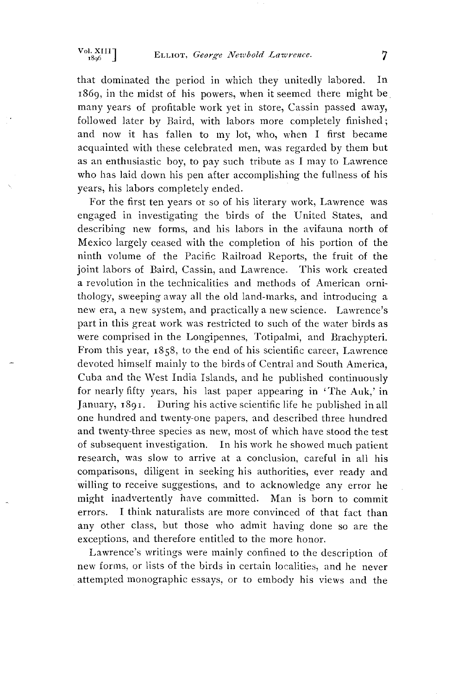**that dominated the period in which they unitedly labored. In •869, in the midst of his powers, when it seemed there might be many years of profitable work yet in store, Cassin passed away, followed later by Baird, with labors more completely finished; and now it has fallen to my lot, who, when I first became acquainted with these celebrated men, was regarded by them but as an enthusiastic boy, to pay such tribute as I may to Lawrence who has laid down his pen after accomplishing the fullness of his years, his labors completely ended.** 

**For the first ten years or so of his literary work, Lawrence was engaged in investigating the birds of the United States, and describing new forms, and his labors in the avifauna north of Mexico largely ceased with the completion of his portion of the ninth volume of the Pacific Railroad Reports, the fruit of the joint labors of Baird, Cassin, and Lawrence. This work created a revolution in the technicalities and methods of American ornithology, sweeping away all the old land-marks, and introducing a new era, a new system, and practically a new science. Lawrence's part in this great work was restricted to such of the water birds as were comprised in the Longipennes, Totipahni, and Brachypteri. From this year, i858 , to the end of his scientific career, Lawrence devoted himself mainly to the birds of Central and South America, Cuba and the West India Islands, and he published continuously for nearly fifty years, his last paper appearing in 'The Auk,' in**  January, 1891. During his active scientific life he published in all **one hundred and twenty-one papers, and described three hundred and twenty-three species as new, most of which have stood the test of subsequent investigation. In his work he showed much patient research, was slow to arrive at a conclusion, careful in all his comparisons, diligent in seeking his authorities, ever ready and willing to receive suggestions, and to acknowledge any error he might inadvertently have committed. Man is born to commit errors. I think naturalists are more convinced of that fact than any other class, but those who admit having done so are the exceptions, and therefore entitled to the more honor.** 

**Lawrence's writings were mainly confined to the description of new forths, or lists of the birds in certain localities, and he never attempted monographic essays, or to embody his views and the**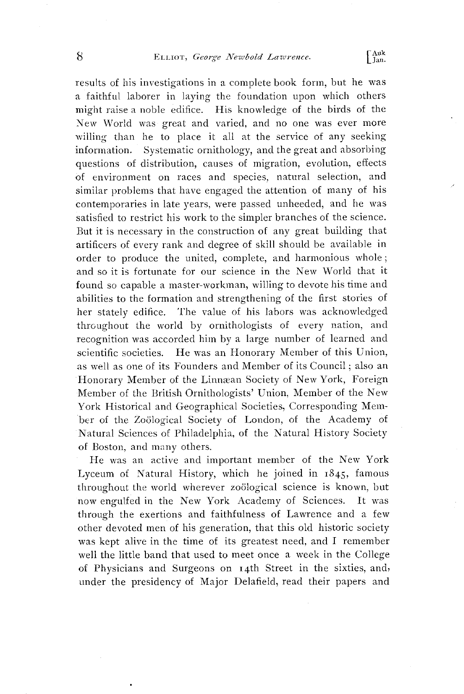**results of his investigations in a complete book form, but he was a faithful laborer in laying the foundation upon which others might raise a noble edifice. His knowledge of the birds of the New World was great and varied, and no one was ever more willing than he to place it all at the service of any seeking information. Systematic ornithology, and the great and absorbing questions of distribution, causes of migration, evolution, effects of environment on races and species, natural selection, and**  similar problems that have engaged the attention of many of his contemporaries in late years, were passed unheeded, and he was **satisfied to restrict his work to the simpler branches of the science. But it is necessary in the construction of any great building that artificers of every rank and degree of skill should be available in order to produce the united, complete, and harmonious whole; and so it is fortunate for our science in the New World that it found so capable a master-workman, willing to devote his time and abilities to the formation and strengthening of the first stories of her stately edifice. The value of his labors was acknowledged throughout the world by ornithologists of every nation, and recognition was accorded him by a large number of learned and**  He was an Honorary Member of this Union, **as well as one of its Founders and Member of its Council; also an**  Honorary Member of the Linnæan Society of New York, Foreign **Member of the British Ornithologists' Union, Member of the New York Historical and Geographical Societies, Corresponding Mem**ber of the Zoölogical Society of London, of the Academy of **Natural Sciences of Philadelphia, of the Natural History Society of Boston, and many others.** 

**He was an active and important member of the New York**  Lyceum of Natural History, which he joined in  $1845$ , famous throughout the world wherever zoological science is known, but now engulfed in the New York Academy of Sciences. It was now engulfed in the New York Academy of Sciences. **through the exertions and faithfulness of Lawrence and a few other devoted men of his generation, that this old historic society was kept alive in the time of its greatest need, and I remember well the little band that used to meet once a week in the College of Physicians and Surgeons on •4th Street in the sixties, and, under the presidency of Major Delafield, read their papers and**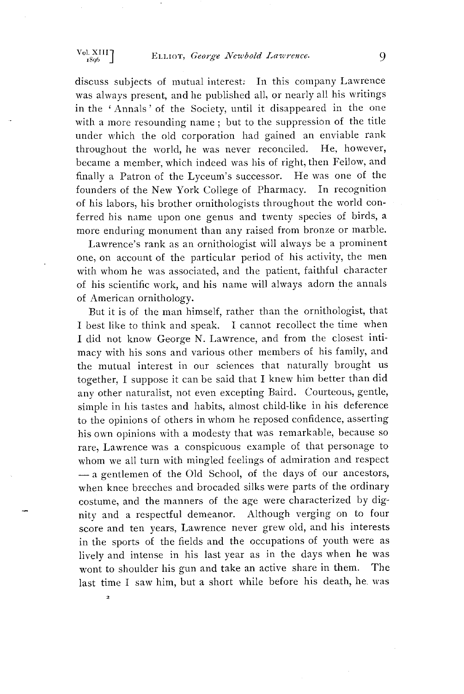## Vol. XIII **ELLIOT**, George Newbold Lawrence. 9

**discuss subjects of mutual interest: In this company Lawrence was always present, and he published all or nearly all his writings in the ' Annals'of the Society, until it disappeared in the one with a more resounding name; but to the suppression of the title under which the old corporation had gained an enviable rank**  throughout the world, he was never reconciled. **became a member, which indeed was his of right, then Fellow, and finally a Patron of the Lyceum's successor. He was one of the founders of the New York College of Pharmacy. In recognition**  of his labors, his brother ornithologists throughout the world con**ferred his name upon one genus and twenty species of birds, a more enduring monument than any raised from bronze or marble.** 

**Lawrence's rank as an ornithologist will always be a prominent one, on account of the particular period of his activity, the men with whom he was associated, and the patient, faithful character of his scientific work, and his name will always adorn the annals of American ornithology.** 

**But it is of the man himself, rather than the ornithologist, that I best like to think and speak. I cannot recollect the time when I did not know George N. Lawrence, and from the closest intimacy with his sons and various other members of his family, and the mutual interest in our sciences that naturally brought us together, I suppose it can be said that I knew him better than did any other naturalist, not even excepting Baird. Courteous, gentle, simple in his tastes and habits, ahnost child-like in his deference to the opinions of others in whom he reposed confidence, asserting his own opinions with a modesty that was remarkable, because so rare, Lawrence was a conspicuous example of that personage to whom we all turn with mingled feelings of admiration and respect**   $-$ a gentlemen of the Old School, of the days of our ancestors, **when knee breeches and brocaded silks were parts of the ordinary costume, and the manners of the age were characterized by dignity and a respectful demeanor. Although verging on to four score and ten years, Lawrence never grew old, and his interests in the sports of the fields and the occupations of youth were as lively and intense in his last year as in the days when he was**  wont to shoulder his gun and take an active share in them. **last time I saw him, but a short while before his death, he. was** 

 $\overline{\phantom{a}}$